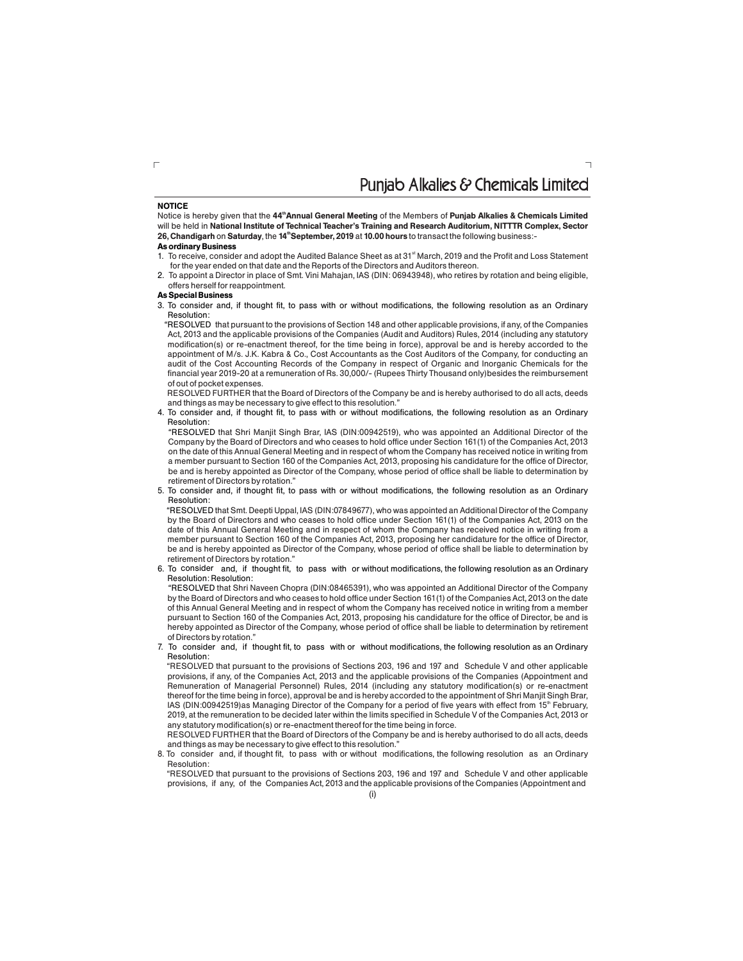### Puniab Alkalies & Chemicals Limited

#### **NOTICE**

Notice is hereby given that the 44<sup>th</sup> Annual General Meeting of the Members of Punjab Alkalies & Chemicals Limited will be held in **National Institute of Technical Teacher's Training and Research Auditorium, NITTTR Complex, Sector** 26, Chandigarh on Saturday, the 14<sup>th</sup> September, 2019 at 10.00 hours to transact the following business:-

#### **As ordinary Business**

- 1. To receive, consider and adopt the Audited Balance Sheet as at 31<sup>st</sup> March, 2019 and the Profit and Loss Statement for the year ended on that date and the Reports of the Directors and Auditors thereon.
- 2. To appoint a Director in place of Smt. Vini Mahajan, IAS (DIN: 06943948), who retires by rotation and being eligible, offers herself for reappointment.

#### **As Special Business**

3. To consider and, if thought fit, to pass with or without modifications, the following resolution as an Ordinary Resolution:

"RESOLVED that pursuant to the provisions of Section 148 and other applicable provisions, if any, of the Companies Act, 2013 and the applicable provisions of the Companies (Audit and Auditors) Rules, 2014 (including any statutory modification(s) or re-enactment thereof, for the time being in force), approval be and is hereby accorded to the appointment of M/s. J.K. Kabra & Co., Cost Accountants as the Cost Auditors of the Company, for conducting an audit of the Cost Accounting Records of the Company in respect of Organic and Inorganic Chemicals for the financial year 2019-20 at a remuneration of Rs. 30,000/- (Rupees Thirty Thousand only)besides the reimbursement of out of pocket expenses.

RESOLVED FURTHER that the Board of Directors of the Company be and is hereby authorised to do all acts, deeds and things as may be necessary to give effect to this resolution."

4. To consider and, if thought fit, to pass with or without modifications, the following resolution as an Ordinary Resolution:

"RESOLVED that Shri Manjit Singh Brar, IAS (DIN:00942519), who was appointed an Additional Director of the Company by the Board of Directors and who ceases to hold office under Section 161(1) of the Companies Act, 2013 on the date of this Annual General Meeting and in respect of whom the Company has received notice in writing from a member pursuant to Section 160 of the Companies Act, 2013, proposing his candidature for the office of Director, be and is hereby appointed as Director of the Company, whose period of office shall be liable to determination by retirement of Directors by rotation."

5. To consider and, if thought fit, to pass with or without modifications, the following resolution as an Ordinary Resolution:

"RESOLVED that Smt. Deepti Uppal, IAS (DIN:07849677), who was appointed an Additional Director of the Company by the Board of Directors and who ceases to hold office under Section 161(1) of the Companies Act, 2013 on the date of this Annual General Meeting and in respect of whom the Company has received notice in writing from a member pursuant to Section 160 of the Companies Act, 2013, proposing her candidature for the office of Director, be and is hereby appointed as Director of the Company, whose period of office shall be liable to determination by retirement of Directors by rotation."

6. To consider and, if thought fit, to pass with or without modifications, the following resolution as an Ordinary Resolution: Resolution:

"RESOLVED that Shri Naveen Chopra (DIN:08465391), who was appointed an Additional Director of the Company by the Board of Directors and who ceases to hold office under Section 161(1) of the Companies Act, 2013 on the date of this Annual General Meeting and in respect of whom the Company has received notice in writing from a member pursuant to Section 160 of the Companies Act, 2013, proposing his candidature for the office of Director, be and is hereby appointed as Director of the Company, whose period of office shall be liable to determination by retirement of Directors by rotation.

7. To consider and, if thought fit, to pass with or without modifications, the following resolution as an Ordinary Resolution:

"RESOLVED that pursuant to the provisions of Sections 203, 196 and 197 and Schedule V and other applicable provisions, if any, of the Companies Act, 2013 and the applicable provisions of the Companies (Appointment and Remuneration of Managerial Personnel) Rules, 2014 (including any statutory modification(s) or re-enactment thereof for the time being in force), approval be and is hereby accorded to the appointment of Shri Manjit Singh Brar, IAS (DIN:00942519)as Managing Director of the Company for a period of five years with effect from 15<sup>th</sup> February, 2019, at the remuneration to be decided later within the limits specified in Schedule V of the Companies Act, 2013 or any statutory modification(s) or re-enactment thereof for the time being in force.

RESOLVED FURTHER that the Board of Directors of the Company be and is hereby authorised to do all acts, deeds and things as may be necessary to give effect to this resolution."

8. To consider and, if thought fit, to pass with or without modifications, the following resolution as an Ordinary Resolution:

"RESOLVED that pursuant to the provisions of Sections 203, 196 and 197 and Schedule V and other applicable provisions, if any, of the Companies Act, 2013 and the applicable provisions of the Companies (Appointment and

 $\Box$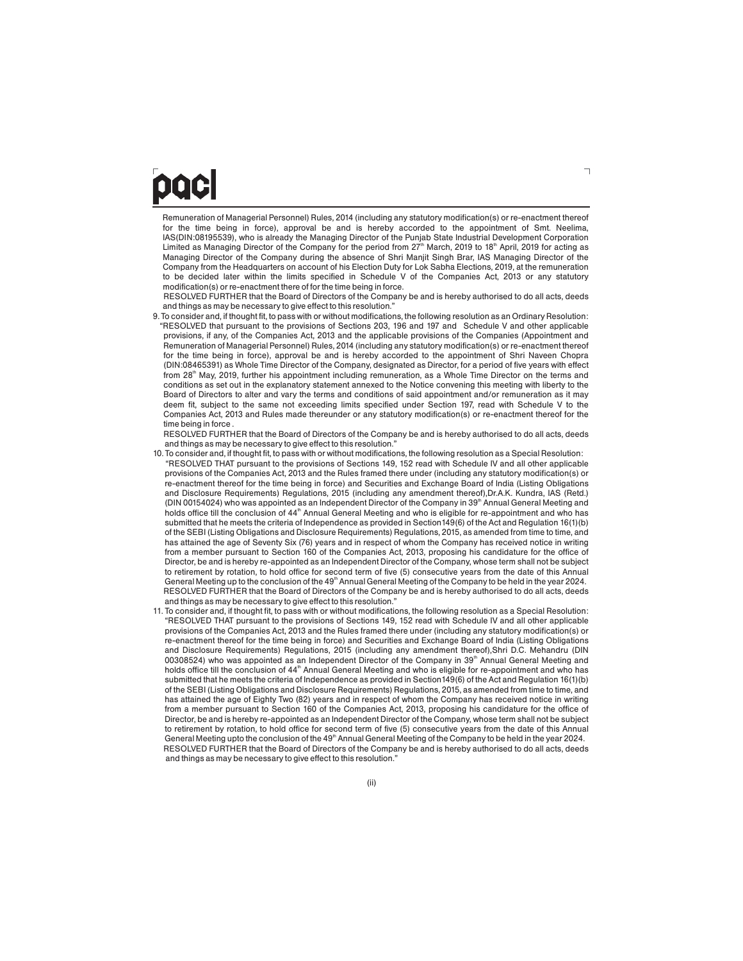# DOCI

Remuneration of Managerial Personnel) Rules, 2014 (including any statutory modification(s) or re-enactment thereof for the time being in force), approval be and is hereby accorded to the appointment of Smt. Neelima, IAS(DIN:08195539), who is already the Managing Director of the Punjab State Industrial Development Corporation Limited as Managing Director of the Company for the period from 27<sup>th</sup> March, 2019 to 18<sup>th</sup> April, 2019 for acting as Managing Director of the Company during the absence of Shri Manjit Singh Brar, IAS Managing Director of the Company from the Headquarters on account of his Election Duty for Lok Sabha Elections, 2019, at the remuneration to be decided later within the limits specified in Schedule V of the Companies Act, 2013 or any statutory modification(s) or re-enactment there of for the time being in force.

RESOLVED FURTHER that the Board of Directors of the Company be and is hereby authorised to do all acts, deeds and things as may be necessary to give effect to this resolution."

9. To consider and, if thought fit, to pass with or without modifications, the following resolution as an Ordinary Resolution: "RESOLVED that pursuant to the provisions of Sections 203, 196 and 197 and Schedule V and other applicable provisions, if any, of the Companies Act, 2013 and the applicable provisions of the Companies (Appointment and Remuneration of Managerial Personnel) Rules, 2014 (including any statutory modification(s) or re-enactment thereof for the time being in force), approval be and is hereby accorded to the appointment of Shri Naveen Chopra (DIN:08465391) as Whole Time Director of the Company, designated as Director, for a period of five years with effect from 28<sup>th</sup> May, 2019, further his appointment including remuneration, as a Whole Time Director on the terms and conditions as set out in the explanatory statement annexed to the Notice convening this meeting with liberty to the Board of Directors to alter and vary the terms and conditions of said appointment and/or remuneration as it may deem fit, subject to the same not exceeding limits specified under Section 197, read with Schedule V to the Companies Act, 2013 and Rules made thereunder or any statutory modification(s) or re-enactment thereof for the time being in force .

RESOLVED FURTHER that the Board of Directors of the Company be and is hereby authorised to do all acts, deeds and things as may be necessary to give effect to this resolution."

- 10. To consider and, if thought fit, to pass with or without modifications, the following resolution as a Special Resolution: "RESOLVED THAT pursuant to the provisions of Sections 149, 152 read with Schedule IV and all other applicable provisions of the Companies Act, 2013 and the Rules framed there under (including any statutory modification(s) or re-enactment thereof for the time being in force) and Securities and Exchange Board of India (Listing Obligations and Disclosure Requirements) Regulations, 2015 (including any amendment thereof),Dr.A.K. Kundra, IAS (Retd.) (DIN 00154024) who was appointed as an Independent Director of the Company in 39<sup>th</sup> Annual General Meeting and holds office till the conclusion of 44<sup>th</sup> Annual General Meeting and who is eligible for re-appointment and who has submitted that he meets the criteria of Independence as provided in Section149(6) of the Act and Regulation 16(1)(b) of the SEBI (Listing Obligations and Disclosure Requirements) Regulations, 2015, as amended from time to time, and has attained the age of Seventy Six (76) years and in respect of whom the Company has received notice in writing from a member pursuant to Section 160 of the Companies Act, 2013, proposing his candidature for the office of Director, be and is hereby re-appointed as an Independent Director of the Company, whose term shall not be subject to retirement by rotation, to hold office for second term of five (5) consecutive years from the date of this Annual General Meeting up to the conclusion of the  $49<sup>th</sup>$  Annual General Meeting of the Company to be held in the year 2024. RESOLVED FURTHER that the Board of Directors of the Company be and is hereby authorised to do all acts, deeds and things as may be necessary to give effect to this resolution."
- 11. To consider and, if thought fit, to pass with or without modifications, the following resolution as a Special Resolution: "RESOLVED THAT pursuant to the provisions of Sections 149, 152 read with Schedule IV and all other applicable provisions of the Companies Act, 2013 and the Rules framed there under (including any statutory modification(s) or re-enactment thereof for the time being in force) and Securities and Exchange Board of India (Listing Obligations and Disclosure Requirements) Regulations, 2015 (including any amendment thereof),Shri D.C. Mehandru (DIN 00308524) who was appointed as an Independent Director of the Company in 39<sup>th</sup> Annual General Meeting and holds office till the conclusion of 44<sup>th</sup> Annual General Meeting and who is eligible for re-appointment and who has submitted that he meets the criteria of Independence as provided in Section149(6) of the Act and Regulation 16(1)(b) of the SEBI (Listing Obligations and Disclosure Requirements) Regulations, 2015, as amended from time to time, and has attained the age of Eighty Two (82) years and in respect of whom the Company has received notice in writing from a member pursuant to Section 160 of the Companies Act, 2013, proposing his candidature for the office of Director, be and is hereby re-appointed as an Independent Director of the Company, whose term shall not be subject to retirement by rotation, to hold office for second term of five (5) consecutive years from the date of this Annual General Meeting upto the conclusion of the 49<sup>th</sup> Annual General Meeting of the Company to be held in the year 2024. RESOLVED FURTHER that the Board of Directors of the Company be and is hereby authorised to do all acts, deeds and things as may be necessary to give effect to this resolution."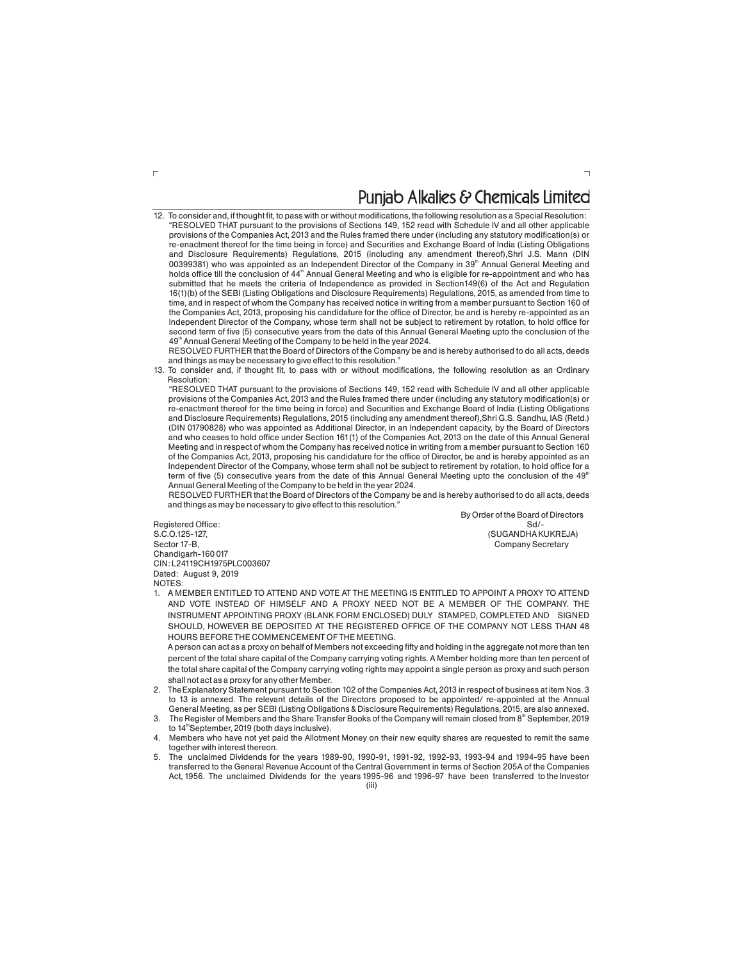## Punjab Alkalies & Chemicals Limited

 $\overline{\phantom{a}}$ 

12. To consider and, if thought fit, to pass with or without modifications, the following resolution as a Special Resolution: "RESOLVED THAT pursuant to the provisions of Sections 149, 152 read with Schedule IV and all other applicable provisions of the Companies Act, 2013 and the Rules framed there under (including any statutory modification(s) or re-enactment thereof for the time being in force) and Securities and Exchange Board of India (Listing Obligations and Disclosure Requirements) Regulations, 2015 (including any amendment thereof),Shri J.S. Mann (DIN 00399381) who was appointed as an Independent Director of the Company in 39<sup>th</sup> Annual General Meeting and holds office till the conclusion of 44<sup>th</sup> Annual General Meeting and who is eligible for re-appointment and who has submitted that he meets the criteria of Independence as provided in Section149(6) of the Act and Regulation 16(1)(b) of the SEBI (Listing Obligations and Disclosure Requirements) Regulations, 2015, as amended from time to time, and in respect of whom the Company has received notice in writing from a member pursuant to Section 160 of the Companies Act, 2013, proposing his candidature for the office of Director, be and is hereby re-appointed as an Independent Director of the Company, whose term shall not be subject to retirement by rotation, to hold office for second term of five (5) consecutive years from the date of this Annual General Meeting upto the conclusion of the 49<sup>th</sup> Annual General Meeting of the Company to be held in the year 2024.

RESOLVED FURTHER that the Board of Directors of the Company be and is hereby authorised to do all acts, deeds and things as may be necessary to give effect to this resolution.

13. To consider and, if thought fit, to pass with or without modifications, the following resolution as an Ordinary Resolution:

"RESOLVED THAT pursuant to the provisions of Sections 149, 152 read with Schedule IV and all other applicable provisions of the Companies Act, 2013 and the Rules framed there under (including any statutory modification(s) or re-enactment thereof for the time being in force) and Securities and Exchange Board of India (Listing Obligations and Disclosure Requirements) Regulations, 2015 (including any amendment thereof),Shri G.S. Sandhu, IAS (Retd.) (DIN 01790828) who was appointed as Additional Director, in an Independent capacity, by the Board of Directors and who ceases to hold office under Section 161(1) of the Companies Act, 2013 on the date of this Annual General Meeting and in respect of whom the Company has received notice in writing from a member pursuant to Section 160 of the Companies Act, 2013, proposing his candidature for the office of Director, be and is hereby appointed as an Independent Director of the Company, whose term shall not be subject to retirement by rotation, to hold office for a term of five (5) consecutive years from the date of this Annual General Meeting upto the conclusion of the  $49<sup>th</sup>$ Annual General Meeting of the Company to be held in the year 2024.

RESOLVED FURTHER that the Board of Directors of the Company be and is hereby authorised to do all acts, deeds and things as may be necessary to give effect to this resolution."

Registered Office: Sd/- CIN: L24119CH1975PLC003607 Dated: August 9, 2019

By Order of the Board of Directors S.C.O.125-127,<br>Sector 17-B, Gold Company Sector 17-B, Company Sector 17-B, Company Secretary Company Secretary

Chandigarh-160 017

**NOTES** 

1. A MEMBER ENTITLED TO ATTEND AND VOTE AT THE MEETING IS ENTITLED TO APPOINT A PROXY TO ATTEND AND VOTE INSTEAD OF HIMSELF AND A PROXY NEED NOT BE A MEMBER OF THE COMPANY. THE INSTRUMENT APPOINTING PROXY (BLANK FORM ENCLOSED) DULY STAMPED, COMPLETED AND SIGNED SHOULD, HOWEVER BE DEPOSITED AT THE REGISTERED OFFICE OF THE COMPANY NOT LESS THAN 48 HOURS BEFORE THE COMMENCEMENT OF THE MEETING.

A person can act as a proxy on behalf of Members not exceeding fifty and holding in the aggregate not more than ten percent of the total share capital of the Company carrying voting rights. A Member holding more than ten percent of the total share capital of the Company carrying voting rights may appoint a single person as proxy and such person shall not act as a proxy for any other Member.

- 2. TheExplanatory Statement pursuant to Section 102 of the Companies Act, 2013 in respect of business at item Nos. 3 to 13 is annexed. The relevant details of the Directors proposed to be appointed/ re-appointed at the Annual General Meeting, as per SEBI (Listing Obligations & Disclosure Requirements) Regulations, 2015, are also annexed.
- 3. The Register of Members and the Share Transfer Books of the Company will remain closed from  $8<sup>th</sup>$  September, 2019 to  $14^{\text{th}}$ September, 2019 (both days inclusive).
- Members who have not yet paid the Allotment Money on their new equity shares are requested to remit the same together with interest thereon.
- (iii) 5. The unclaimed Dividends for the years 1989-90, 1990-91, 1991-92, 1992-93, 1993-94 and 1994-95 have been transferred to the General Revenue Account of the Central Government in terms of Section 205A of the Companies Act, 1956. The unclaimed Dividends for the years 1995-96 and 1996-97 have been transferred to the Investor

 $\Gamma$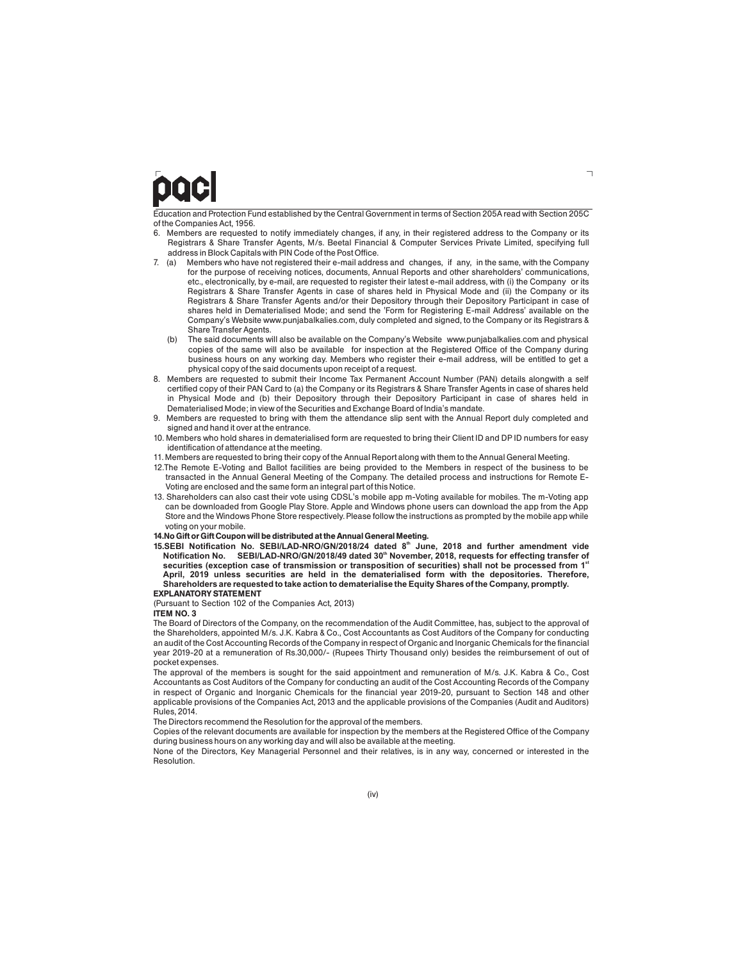## OOCI

Education and Protection Fund established by the Central Government in terms of Section 205A read with Section 205C of the Companies Act, 1956.

- 6. Members are requested to notify immediately changes, if any, in their registered address to the Company or its Registrars & Share Transfer Agents, M/s. Beetal Financial & Computer Services Private Limited, specifying full address in Block Capitals with PIN Code of the Post Office.<br>7. (a) Members who have not registered their e-mail addre
- Members who have not registered their e-mail address and changes, if any, in the same, with the Company for the purpose of receiving notices, documents, Annual Reports and other shareholders' communications, etc., electronically, by e-mail, are requested to register their latest e-mail address, with (i) the Company or its Registrars & Share Transfer Agents in case of shares held in Physical Mode and (ii) the Company or its Registrars & Share Transfer Agents and/or their Depository through their Depository Participant in case of shares held in Dematerialised Mode; and send the 'Form for Registering E-mail Address' available on the Company's Website www.punjabalkalies.com, duly completed and signed, to the Company or its Registrars & Share Transfer Agents.
	- The said documents will also be available on the Company's Website www.punjabalkalies.com and physical copies of the same will also be available for inspection at the Registered Office of the Company during business hours on any working day. Members who register their e-mail address, will be entitled to get a physical copy of the said documents upon receipt of a request.
- 8. Members are requested to submit their Income Tax Permanent Account Number (PAN) details alongwith a self certified copy of their PAN Card to (a) the Company or its Registrars & Share Transfer Agents in case of shares held in Physical Mode and (b) their Depository through their Depository Participant in case of shares held in Dematerialised Mode; in view of the Securities and Exchange Board of India's mandate.
- 9. Members are requested to bring with them the attendance slip sent with the Annual Report duly completed and signed and hand it over at the entrance.
- 10. Members who hold shares in dematerialised form are requested to bring their Client ID and DP ID numbers for easy identification of attendance at the meeting.
- 11. Members are requested to bring their copy of the Annual Report along with them to the Annual General Meeting.
- 12.The Remote E-Voting and Ballot facilities are being provided to the Members in respect of the business to be transacted in the Annual General Meeting of the Company. The detailed process and instructions for Remote E-Voting are enclosed and the same form an integral part of this Notice.
- 13. Shareholders can also cast their vote using CDSL's mobile app m-Voting available for mobiles. The m-Voting app can be downloaded from Google Play Store. Apple and Windows phone users can download the app from the App Store and the Windows Phone Store respectively. Please follow the instructions as prompted by the mobile app while voting on your mobile.

#### **14.No Gift or Gift Coupon will be distributed at the Annual General Meeting.**

**15.SEBI Notification No. SEBI/LAD-NRO/GN/2018/24 dated 8 June, 2018 and further amendment vide th Notification No.** SEBI/LAD-NRO/GN/2018/49 dated 30<sup>th</sup> November, 2018, requests for effecting transfer of securities (exception case of transmission or transposition of securities) shall not be processed from 1<sup>*s*</sup> **April, 2019 unless securities are held in the dematerialised form with the depositories. Therefore, Shareholders are requested to take action to dematerialise the Equity Shares of the Company, promptly. EXPLANATORY STATEMENT**

(Pursuant to Section 102 of the Companies Act, 2013)

#### **ITEM NO. 3**

The Board of Directors of the Company, on the recommendation of the Audit Committee, has, subject to the approval of the Shareholders, appointed M/s. J.K. Kabra & Co., Cost Accountants as Cost Auditors of the Company for conducting an audit of the Cost Accounting Records of the Company in respect of Organic and Inorganic Chemicals for the financial year 2019-20 at a remuneration of Rs.30,000/- (Rupees Thirty Thousand only) besides the reimbursement of out of pocket expenses.

The approval of the members is sought for the said appointment and remuneration of M/s. J.K. Kabra & Co., Cost Accountants as Cost Auditors of the Company for conducting an audit of the Cost Accounting Records of the Company in respect of Organic and Inorganic Chemicals for the financial year 2019-20, pursuant to Section 148 and other applicable provisions of the Companies Act, 2013 and the applicable provisions of the Companies (Audit and Auditors) Rules, 2014.

The Directors recommend the Resolution for the approval of the members.

Copies of the relevant documents are available for inspection by the members at the Registered Office of the Company during business hours on any working day and will also be available at the meeting.

None of the Directors, Key Managerial Personnel and their relatives, is in any way, concerned or interested in the Resolution.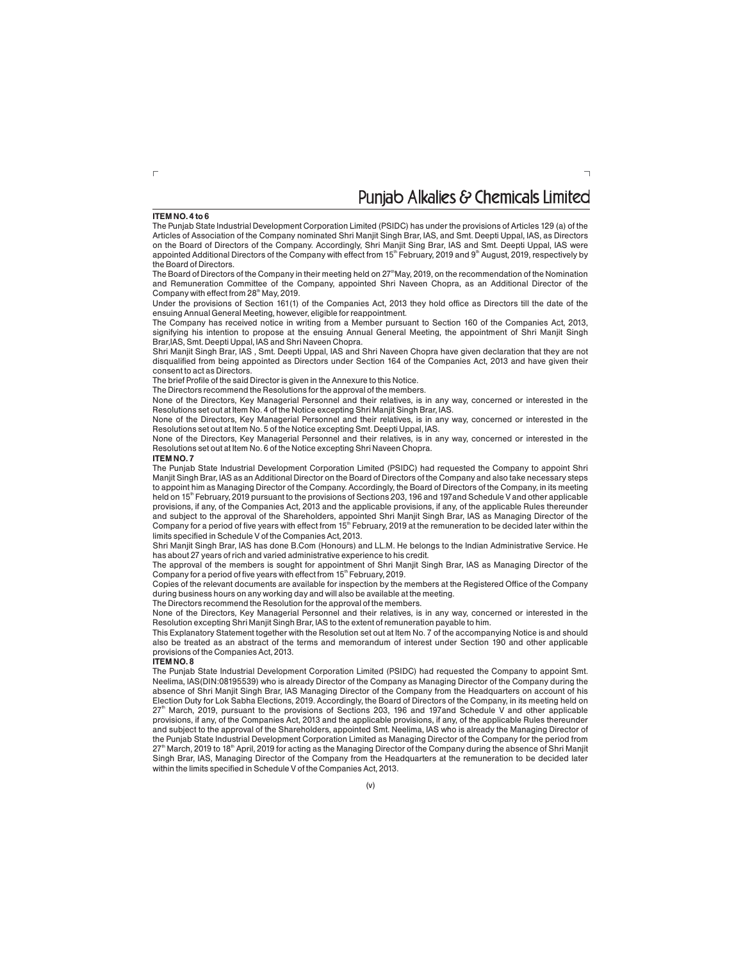### Puniab Alkalies & Chemicals Limited

#### **ITEM NO. 4 to 6**

The Punjab State Industrial Development Corporation Limited (PSIDC) has under the provisions of Articles 129 (a) of the Articles of Association of the Company nominated Shri Manjit Singh Brar, IAS, and Smt. Deepti Uppal, IAS, as Directors on the Board of Directors of the Company. Accordingly, Shri Manjit Sing Brar, IAS and Smt. Deepti Uppal, IAS were appointed Additional Directors of the Company with effect from  $15<sup>m</sup>$  February, 2019 and 9<sup>th</sup> August, 2019, respectively by the Board of Directors.

The Board of Directors of the Company in their meeting held on 27<sup>th</sup>May, 2019, on the recommendation of the Nomination and Remuneration Committee of the Company, appointed Shri Naveen Chopra, as an Additional Director of the Company with effect from 28<sup>th</sup> May, 2019.

Under the provisions of Section 161(1) of the Companies Act, 2013 they hold office as Directors till the date of the ensuing Annual General Meeting, however, eligible for reappointment.

The Company has received notice in writing from a Member pursuant to Section 160 of the Companies Act, 2013, signifying his intention to propose at the ensuing Annual General Meeting, the appointment of Shri Manjit Singh Brar,IAS, Smt. Deepti Uppal, IAS and Shri Naveen Chopra.

Shri Manjit Singh Brar, IAS , Smt. Deepti Uppal, IAS and Shri Naveen Chopra have given declaration that they are not disqualified from being appointed as Directors under Section 164 of the Companies Act, 2013 and have given their consent to act as Directors.

The brief Profile of the said Director is given in the Annexure to this Notice.

The Directors recommend the Resolutions for the approval of the members.

None of the Directors, Key Managerial Personnel and their relatives, is in any way, concerned or interested in the Resolutions set out at Item No. 4 of the Notice excepting Shri Manjit Singh Brar, IAS.

None of the Directors, Key Managerial Personnel and their relatives, is in any way, concerned or interested in the Resolutions set out at Item No. 5 of the Notice excepting Smt. Deepti Uppal, IAS.

None of the Directors, Key Managerial Personnel and their relatives, is in any way, concerned or interested in the Resolutions set out at Item No. 6 of the Notice excepting Shri Naveen Chopra.

#### **ITEM NO. 7**

The Punjab State Industrial Development Corporation Limited (PSIDC) had requested the Company to appoint Shri Manjit Singh Brar, IAS as an Additional Director on the Board of Directors of the Company and also take necessary steps to appoint him as Managing Director of the Company. Accordingly, the Board of Directors of the Company, in its meeting held on 15<sup>th</sup> February, 2019 pursuant to the provisions of Sections 203, 196 and 197 and Schedule V and other applicable provisions, if any, of the Companies Act, 2013 and the applicable provisions, if any, of the applicable Rules thereunder and subject to the approval of the Shareholders, appointed Shri Manjit Singh Brar, IAS as Managing Director of the Company for a period of five years with effect from 15<sup>th</sup> February, 2019 at the remuneration to be decided later within the limits specified in Schedule V of the Companies Act, 2013.

Shri Manjit Singh Brar, IAS has done B.Com (Honours) and LL.M. He belongs to the Indian Administrative Service. He has about 27 years of rich and varied administrative experience to his credit.

The approval of the members is sought for appointment of Shri Manjit Singh Brar, IAS as Managing Director of the Company for a period of five years with effect from  $15<sup>th</sup>$  February, 2019.

Copies of the relevant documents are available for inspection by the members at the Registered Office of the Company during business hours on any working day and will also be available at the meeting.

The Directors recommend the Resolution for the approval of the members.

None of the Directors, Key Managerial Personnel and their relatives, is in any way, concerned or interested in the Resolution excepting Shri Manjit Singh Brar, IAS to the extent of remuneration payable to him.

This Explanatory Statement together with the Resolution set out at Item No. 7 of the accompanying Notice is and should also be treated as an abstract of the terms and memorandum of interest under Section 190 and other applicable provisions of the Companies Act, 2013.

#### **ITEM NO. 8**

The Punjab State Industrial Development Corporation Limited (PSIDC) had requested the Company to appoint Smt. Neelima, IAS(DIN:08195539) who is already Director of the Company as Managing Director of the Company during the absence of Shri Manjit Singh Brar, IAS Managing Director of the Company from the Headquarters on account of his Election Duty for Lok Sabha Elections, 2019. Accordingly, the Board of Directors of the Company, in its meeting held on 27<sup>th</sup> March, 2019, pursuant to the provisions of Sections 203, 196 and 197 and Schedule V and other applicable provisions, if any, of the Companies Act, 2013 and the applicable provisions, if any, of the applicable Rules thereunder and subject to the approval of the Shareholders, appointed Smt. Neelima, IAS who is already the Managing Director of the Punjab State Industrial Development Corporation Limited as Managing Director of the Company for the period from 27<sup>th</sup> March, 2019 to 18<sup>th</sup> April, 2019 for acting as the Managing Director of the Company during the absence of Shri Manjit Singh Brar, IAS, Managing Director of the Company from the Headquarters at the remuneration to be decided later within the limits specified in Schedule V of the Companies Act, 2013.

 $\Gamma$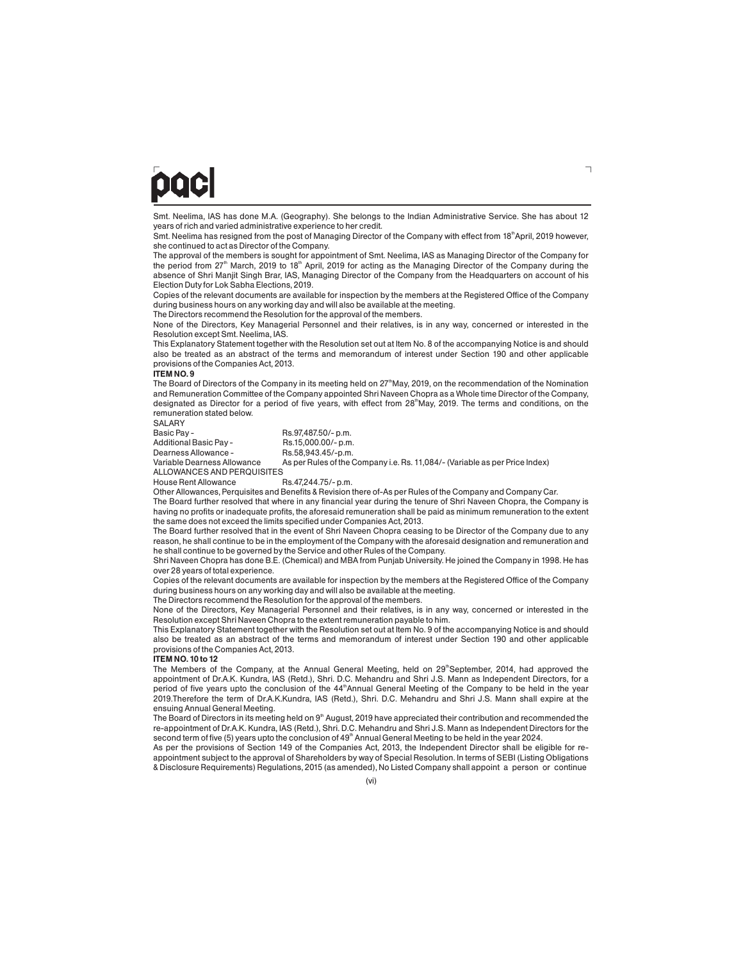## paci

Smt. Neelima, IAS has done M.A. (Geography). She belongs to the Indian Administrative Service. She has about 12 years of rich and varied administrative experience to her credit.

Smt. Neelima has resigned from the post of Managing Director of the Company with effect from 18<sup>th</sup> April, 2019 however, she continued to act as Director of the Company.

The approval of the members is sought for appointment of Smt. Neelima, IAS as Managing Director of the Company for the period from 27<sup>th</sup> March, 2019 to 18<sup>th</sup> April, 2019 for acting as the Managing Director of the Company during the absence of Shri Manjit Singh Brar, IAS, Managing Director of the Company from the Headquarters on account of his Election Duty for Lok Sabha Elections, 2019.

Copies of the relevant documents are available for inspection by the members at the Registered Office of the Company during business hours on any working day and will also be available at the meeting.

The Directors recommend the Resolution for the approval of the members.

None of the Directors, Key Managerial Personnel and their relatives, is in any way, concerned or interested in the Resolution except Smt. Neelima, IAS.

This Explanatory Statement together with the Resolution set out at Item No. 8 of the accompanying Notice is and should also be treated as an abstract of the terms and memorandum of interest under Section 190 and other applicable provisions of the Companies Act, 2013.

#### **ITEM NO. 9**

The Board of Directors of the Company in its meeting held on 27<sup>th</sup>May, 2019, on the recommendation of the Nomination and Remuneration Committee of the Company appointed Shri Naveen Chopra as a Whole time Director of the Company, designated as Director for a period of five years, with effect from 28<sup>th</sup>May, 2019. The terms and conditions, on the remuneration stated below.

SALARY<br>Basic Pay -

Dearness Allowance -

Rs.97,487.50/- p.m.<br>Rs.15,000.00/- p.m. Additional Basic Pay - Rs.15,000.00/-p.m.<br>Dearness Allowance - Rs.58.943.45/-p.m.

Variable Dearness Allowance As per Rules of the Company i.e. Rs. 11,084/- (Variable as per Price Index) ALLOWANCES AND PERQUISITES<br>House Rent Allowance Rs.47,244.75/- p.m.

House Rent Allowance

Other Allowances, Perquisites and Benefits & Revision there of-As per Rules of the Company and Company Car.

The Board further resolved that where in any financial year during the tenure of Shri Naveen Chopra, the Company is having no profits or inadequate profits, the aforesaid remuneration shall be paid as minimum remuneration to the extent the same does not exceed the limits specified under Companies Act, 2013.

The Board further resolved that in the event of Shri Naveen Chopra ceasing to be Director of the Company due to any reason, he shall continue to be in the employment of the Company with the aforesaid designation and remuneration and he shall continue to be governed by the Service and other Rules of the Company.

Shri Naveen Chopra has done B.E. (Chemical) and MBA from Punjab University. He joined the Company in 1998. He has over 28 years of total experience.

Copies of the relevant documents are available for inspection by the members at the Registered Office of the Company during business hours on any working day and will also be available at the meeting.

The Directors recommend the Resolution for the approval of the members.

None of the Directors, Key Managerial Personnel and their relatives, is in any way, concerned or interested in the Resolution except Shri Naveen Chopra to the extent remuneration payable to him.

This Explanatory Statement together with the Resolution set out at Item No. 9 of the accompanying Notice is and should also be treated as an abstract of the terms and memorandum of interest under Section 190 and other applicable provisions of the Companies Act, 2013.

#### **ITEM NO. 10 to 12**

The Members of the Company, at the Annual General Meeting, held on 29<sup>th</sup>September, 2014, had approved the appointment of Dr.A.K. Kundra, IAS (Retd.), Shri. D.C. Mehandru and Shri J.S. Mann as Independent Directors, for a period of five years upto the conclusion of the 44<sup>th</sup>Annual General Meeting of the Company to be held in the year 2019.Therefore the term of Dr.A.K.Kundra, IAS (Retd.), Shri. D.C. Mehandru and Shri J.S. Mann shall expire at the ensuing Annual General Meeting.

The Board of Directors in its meeting held on  $9<sup>th</sup>$  August, 2019 have appreciated their contribution and recommended the re-appointment of Dr.A.K. Kundra, IAS (Retd.), Shri. D.C. Mehandru and Shri J.S. Mann as Independent Directors for the second term of five (5) years upto the conclusion of 49<sup>th</sup> Annual General Meeting to be held in the vear 2024.

As per the provisions of Section 149 of the Companies Act, 2013, the Independent Director shall be eligible for reappointment subject to the approval of Shareholders by way of Special Resolution. In terms of SEBI (Listing Obligations & Disclosure Requirements) Regulations, 2015 (as amended), No Listed Company shall appoint a person or continue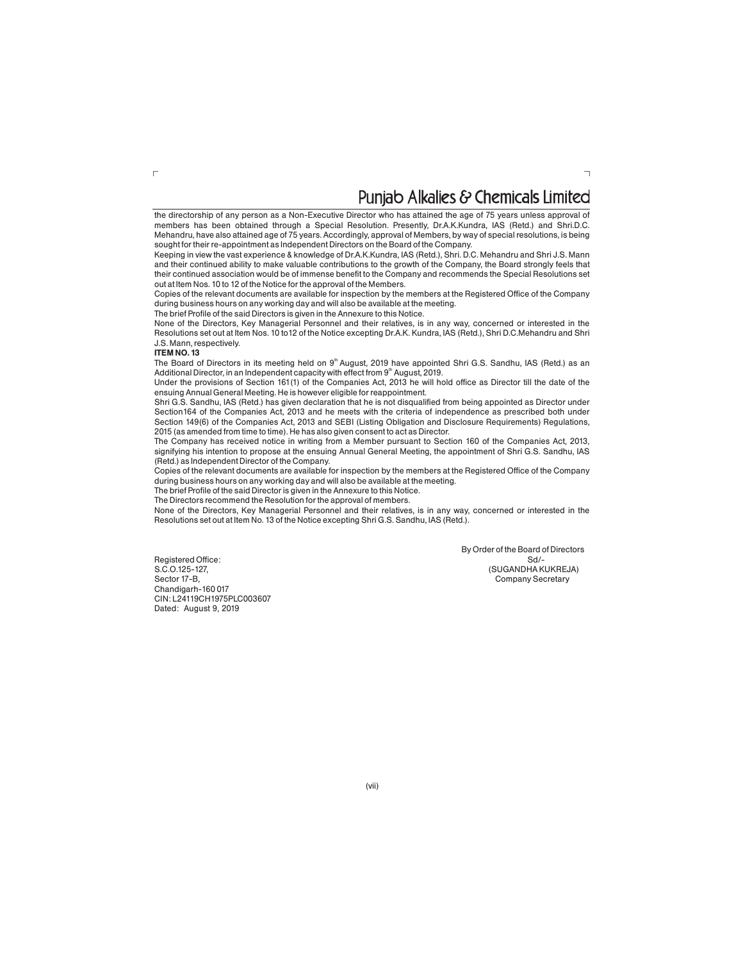## Puniab Alkalies & Chemicals Limited

the directorship of any person as a Non-Executive Director who has attained the age of 75 years unless approval of members has been obtained through a Special Resolution. Presently, Dr.A.K.Kundra, IAS (Retd.) and Shri.D.C. Mehandru, have also attained age of 75 years. Accordingly, approval of Members, by way of special resolutions, is being sought for their re-appointment as Independent Directors on the Board of the Company.

Keeping in view the vast experience & knowledge of Dr.A.K.Kundra, IAS (Retd.), Shri. D.C. Mehandru and Shri J.S. Mann and their continued ability to make valuable contributions to the growth of the Company, the Board strongly feels that their continued association would be of immense benefit to the Company and recommends the Special Resolutions set out at Item Nos. 10 to 12 of the Notice for the approval of the Members.

Copies of the relevant documents are available for inspection by the members at the Registered Office of the Company during business hours on any working day and will also be available at the meeting.

The brief Profile of the said Directors is given in the Annexure to this Notice.

None of the Directors, Key Managerial Personnel and their relatives, is in any way, concerned or interested in the Resolutions set out at Item Nos. 10 to12 of the Notice excepting Dr.A.K. Kundra, IAS (Retd.), Shri D.C.Mehandru and Shri J.S. Mann, respectively.

#### **ITEM NO. 13**

 $\Gamma$ 

The Board of Directors in its meeting held on 9<sup>th</sup> August, 2019 have appointed Shri G.S. Sandhu, IAS (Retd.) as an Additional Director, in an Independent capacity with effect from  $9<sup>th</sup>$  August, 2019.

Under the provisions of Section 161(1) of the Companies Act, 2013 he will hold office as Director till the date of the ensuing Annual General Meeting. He is however eligible for reappointment.

Shri G.S. Sandhu, IAS (Retd.) has given declaration that he is not disqualified from being appointed as Director under Section164 of the Companies Act, 2013 and he meets with the criteria of independence as prescribed both under Section 149(6) of the Companies Act, 2013 and SEBI (Listing Obligation and Disclosure Requirements) Regulations, 2015 (as amended from time to time). He has also given consent to act as Director.

The Company has received notice in writing from a Member pursuant to Section 160 of the Companies Act, 2013, signifying his intention to propose at the ensuing Annual General Meeting, the appointment of Shri G.S. Sandhu, IAS (Retd.) as Independent Director of the Company.

Copies of the relevant documents are available for inspection by the members at the Registered Office of the Company during business hours on any working day and will also be available at the meeting.

The brief Profile of the said Director is given in the Annexure to this Notice.

The Directors recommend the Resolution for the approval of members.

None of the Directors, Key Managerial Personnel and their relatives, is in any way, concerned or interested in the Resolutions set out at Item No. 13 of the Notice excepting Shri G.S. Sandhu, IAS (Retd.).

Registered Office:<br>S.C.O.125-127, S.C.O.125-127,<br>
Sector 17-B,<br>
Company Secretary Chandigarh-160 017 CIN: L24119CH1975PLC003607 Dated: August 9, 2019

By Order of the Board of Directors<br>Sd/-Company Secretary

 $\overline{\phantom{0}}$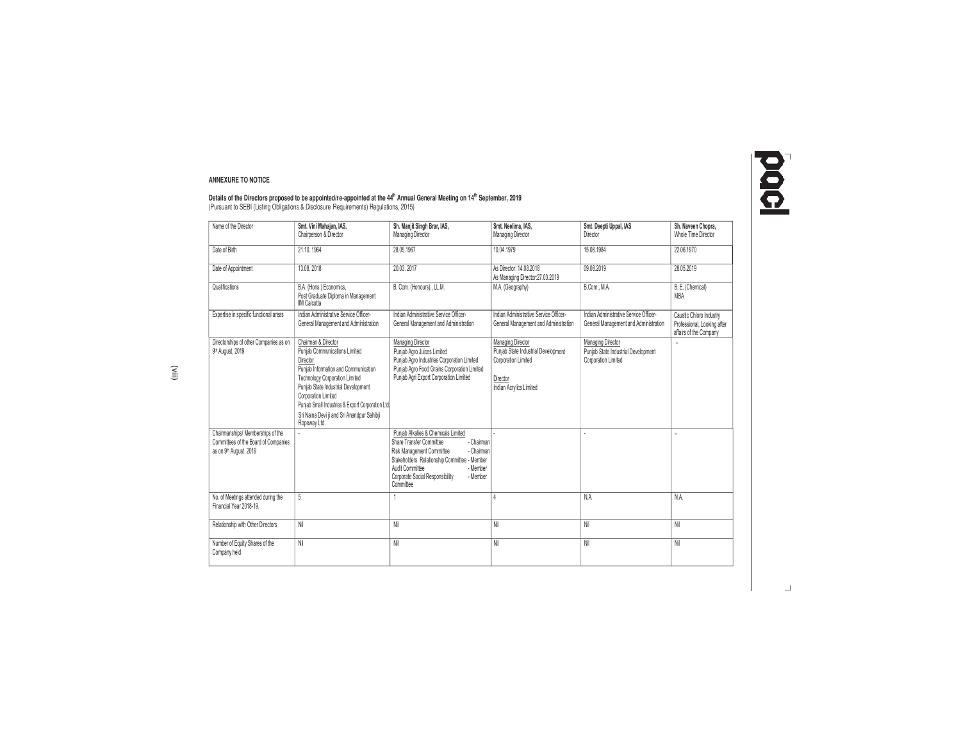# 1000

#### **ANNEXURE TO NOTICE**

**Details of the Directors proposed to be appointed/re-appointed at the 44<sup>h</sup> Annual General Meeting on 14<sup>th</sup> September, 2019<br>(Pursuant to SEBI (Listing Obligations & Disclosure Requirements) Regulations, 2015)** 

| Name of the Director                                                                                | Smt. Vini Mahaian. IAS.<br>Chairperson & Director                                                                                                                                                                                                                                                                           | Sh. Manjit Singh Brar, IAS,<br>Managing Director                                                                                                                                                                                                                    | Smt. Neelima. IAS.<br>Managing Director                                                                                | Smt. Deepti Uppal. IAS<br>Director                                              | Sh. Naveen Chopra.<br>Whole Time Director                                        |
|-----------------------------------------------------------------------------------------------------|-----------------------------------------------------------------------------------------------------------------------------------------------------------------------------------------------------------------------------------------------------------------------------------------------------------------------------|---------------------------------------------------------------------------------------------------------------------------------------------------------------------------------------------------------------------------------------------------------------------|------------------------------------------------------------------------------------------------------------------------|---------------------------------------------------------------------------------|----------------------------------------------------------------------------------|
| Date of Birth                                                                                       | 21.10.1964                                                                                                                                                                                                                                                                                                                  | 28.05.1967                                                                                                                                                                                                                                                          | 10.04.1979                                                                                                             | 15.08.1984                                                                      | 22.06.1970                                                                       |
| Date of Appointment                                                                                 | 13.08.2018                                                                                                                                                                                                                                                                                                                  | 20.03.2017                                                                                                                                                                                                                                                          | As Director: 14.08.2018<br>As Managing Director:27.03.2019                                                             | 09.08.2019                                                                      | 28.05.2019                                                                       |
| Qualifications                                                                                      | B.A. (Hons.) Economics,<br>Post Graduate Diploma in Management<br><b>IIM Calcutta</b>                                                                                                                                                                                                                                       | B. Com. (Honours)., LL.M.                                                                                                                                                                                                                                           | M.A. (Geography)                                                                                                       | B.Com., M.A.                                                                    | B. E. (Chemical)<br>MBA                                                          |
| Expertise in specific functional areas                                                              | Indian Administrative Service Officer-<br>General Management and Administration                                                                                                                                                                                                                                             | Indian Administrative Service Officer-<br>General Management and Administration                                                                                                                                                                                     | Indian Administrative Service Officer-<br>General Management and Administration                                        | Indian Administrative Service Officer-<br>General Management and Administration | Caustic Chloro Industry<br>Professional, Looking after<br>affairs of the Company |
| Directorships of other Companies as on<br>9 <sup>th</sup> August, 2019                              | Chairman & Director<br>Puniab Communications Limited<br>Director<br>Puniab Information and Communication<br>Technology Corporation Limited<br>Punjab State Industrial Development<br>Corporation Limited<br>Punjab Small Industries & Export Corporation Ltd.<br>Sri Naina Devi ji and Sri Anandpur Sahibji<br>Ropeway Ltd. | Managing Director<br>Puniab Agro Juices Limited<br>Punjab Agro Industries Corporation Limited<br>Punjab Agro Food Grains Corporation Limited<br>Punjab Agri Export Corporation Limited                                                                              | Managing Director<br>Puniab State Industrial Development<br>Corporation Limited<br>Director<br>Indian Acrylics Limited | Managing Director<br>Puniab State Industrial Development<br>Corporation Limited | $\sim$                                                                           |
| Chairmanships/ Memberships of the<br>Committees of the Board of Companies<br>as on 9th August, 2019 |                                                                                                                                                                                                                                                                                                                             | Puniab Alkalies & Chemicals Limited<br>Share Transfer Committee<br>- Chairman<br>- Chairman<br>Risk Management Committee<br>Stakeholders Relationship Committee - Member<br>Audit Committee<br>- Member<br>Corporate Social Responsibility<br>- Member<br>Committee |                                                                                                                        |                                                                                 | ٠                                                                                |
| No. of Meetings attended during the<br>Financial Year 2018-19.                                      | 5                                                                                                                                                                                                                                                                                                                           |                                                                                                                                                                                                                                                                     |                                                                                                                        | N.A.                                                                            | NA.                                                                              |
| Relationship with Other Directors                                                                   | Nil                                                                                                                                                                                                                                                                                                                         | Nil                                                                                                                                                                                                                                                                 | Nil                                                                                                                    | Nil                                                                             | Nil                                                                              |
| Number of Equity Shares of the<br>Company held                                                      | Nil                                                                                                                                                                                                                                                                                                                         | Nil                                                                                                                                                                                                                                                                 | Nil                                                                                                                    | Nil                                                                             | Nil                                                                              |

 $\Box$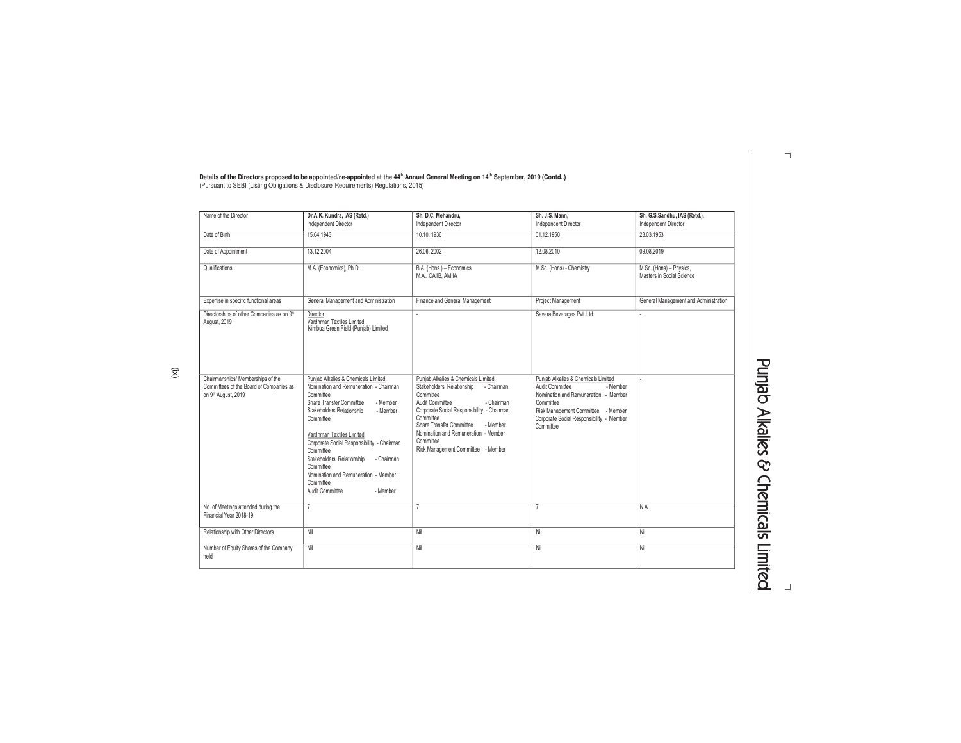| Name of the Director                                                                                | Dr.A.K. Kundra, IAS (Retd.)<br>Independent Director                                                                                                                                                                                                                                                                                                                                                                          | Sh. D.C. Mehandru.<br>Independent Director                                                                                                                                                                                                                                                                                 | Sh. J.S. Mann,<br>Independent Director                                                                                                                                                                                  | Sh. G.S.Sandhu, IAS (Retd.),<br>Independent Director |
|-----------------------------------------------------------------------------------------------------|------------------------------------------------------------------------------------------------------------------------------------------------------------------------------------------------------------------------------------------------------------------------------------------------------------------------------------------------------------------------------------------------------------------------------|----------------------------------------------------------------------------------------------------------------------------------------------------------------------------------------------------------------------------------------------------------------------------------------------------------------------------|-------------------------------------------------------------------------------------------------------------------------------------------------------------------------------------------------------------------------|------------------------------------------------------|
| Date of Birth                                                                                       | 15.04.1943                                                                                                                                                                                                                                                                                                                                                                                                                   | 10.10.1936                                                                                                                                                                                                                                                                                                                 | 01.12.1950                                                                                                                                                                                                              | 23.03.1953                                           |
| Date of Appointment                                                                                 | 13.12.2004                                                                                                                                                                                                                                                                                                                                                                                                                   | 26.06.2002                                                                                                                                                                                                                                                                                                                 | 12.08.2010                                                                                                                                                                                                              | 09.08.2019                                           |
| Qualifications                                                                                      | M.A. (Economics), Ph.D.                                                                                                                                                                                                                                                                                                                                                                                                      | B.A. (Hons.) - Economics<br>M.A., CAIIB, AMIIA                                                                                                                                                                                                                                                                             | M.Sc. (Hons) - Chemistry                                                                                                                                                                                                | M.Sc. (Hons) - Physics,<br>Masters in Social Science |
| Expertise in specific functional areas                                                              | General Management and Administration                                                                                                                                                                                                                                                                                                                                                                                        | Finance and General Management                                                                                                                                                                                                                                                                                             | Project Management                                                                                                                                                                                                      | General Management and Administration                |
| Directorships of other Companies as on 9th<br>August, 2019                                          | Director<br>Vardhman Textiles Limited<br>Nimbua Green Field (Punjab) Limited                                                                                                                                                                                                                                                                                                                                                 |                                                                                                                                                                                                                                                                                                                            | Savera Beverages Pvt. Ltd.                                                                                                                                                                                              | ٠                                                    |
| Chairmanships/ Memberships of the<br>Committees of the Board of Companies as<br>on 9th August, 2019 | Puniab Alkalies & Chemicals Limited<br>Nomination and Remuneration - Chairman<br>Committee<br>Share Transfer Committee<br>- Member<br>Stakeholders Relationship<br>- Member<br>Committee<br>Vardhman Textiles Limited<br>Corporate Social Responsibility - Chairman<br>Committee<br>Stakeholders Relationship<br>- Chairman<br>Committee<br>Nomination and Remuneration - Member<br>Committee<br>Audit Committee<br>- Member | Punjab Alkalies & Chemicals Limited<br>Stakeholders Relationship<br>- Chairman<br>Committee<br>Audit Committee<br>- Chairman<br>Corporate Social Responsibility - Chairman<br>Committee<br>Share Transfer Committee<br>- Member<br>Nomination and Remuneration - Member<br>Committee<br>Risk Management Committee - Member | Punjab Alkalies & Chemicals Limited<br>Audit Committee<br>$-Member$<br>Nomination and Remuneration - Member<br>Committee<br>Risk Management Committee - Member<br>Corporate Social Responsibility - Member<br>Committee |                                                      |
| No. of Meetings attended during the<br>Financial Year 2018-19.                                      |                                                                                                                                                                                                                                                                                                                                                                                                                              |                                                                                                                                                                                                                                                                                                                            | $\overline{7}$                                                                                                                                                                                                          | NA.                                                  |
| Relationship with Other Directors                                                                   | Nil                                                                                                                                                                                                                                                                                                                                                                                                                          | Nil                                                                                                                                                                                                                                                                                                                        | Nil                                                                                                                                                                                                                     | Nil                                                  |
| Number of Equity Shares of the Company<br>held                                                      | Nil                                                                                                                                                                                                                                                                                                                                                                                                                          | Nil                                                                                                                                                                                                                                                                                                                        | Nil                                                                                                                                                                                                                     | Nil                                                  |

Details of the Directors proposed to be appointed/re-appointed at the 44<sup>th</sup> Annual General Meeting on 14<sup>th</sup> September, 2019 (Contd..)<br>(Pursuant to SEBI (Listing Obligations & Disclosure Requirements) Regulations, 2015)

**Punjab Alkalies & Chemicals Limited** 

 $\lnot$ 

(ix)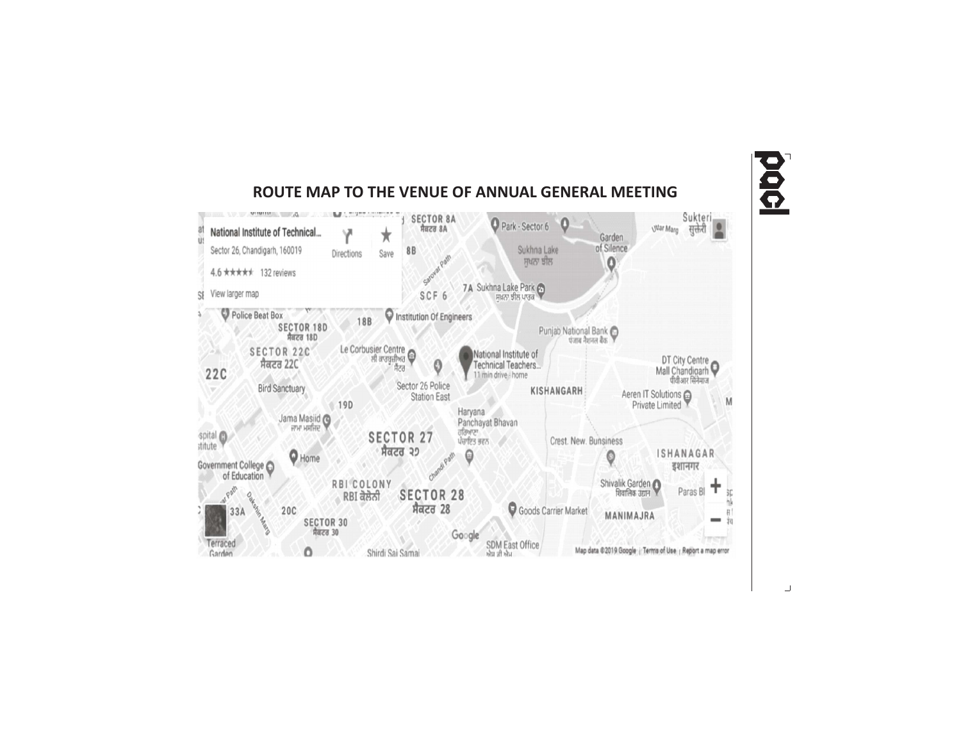

**ROUTE MAP TO THE VENUE OF ANNUAL GENERAL MEETING**

# 000

 $\Box$